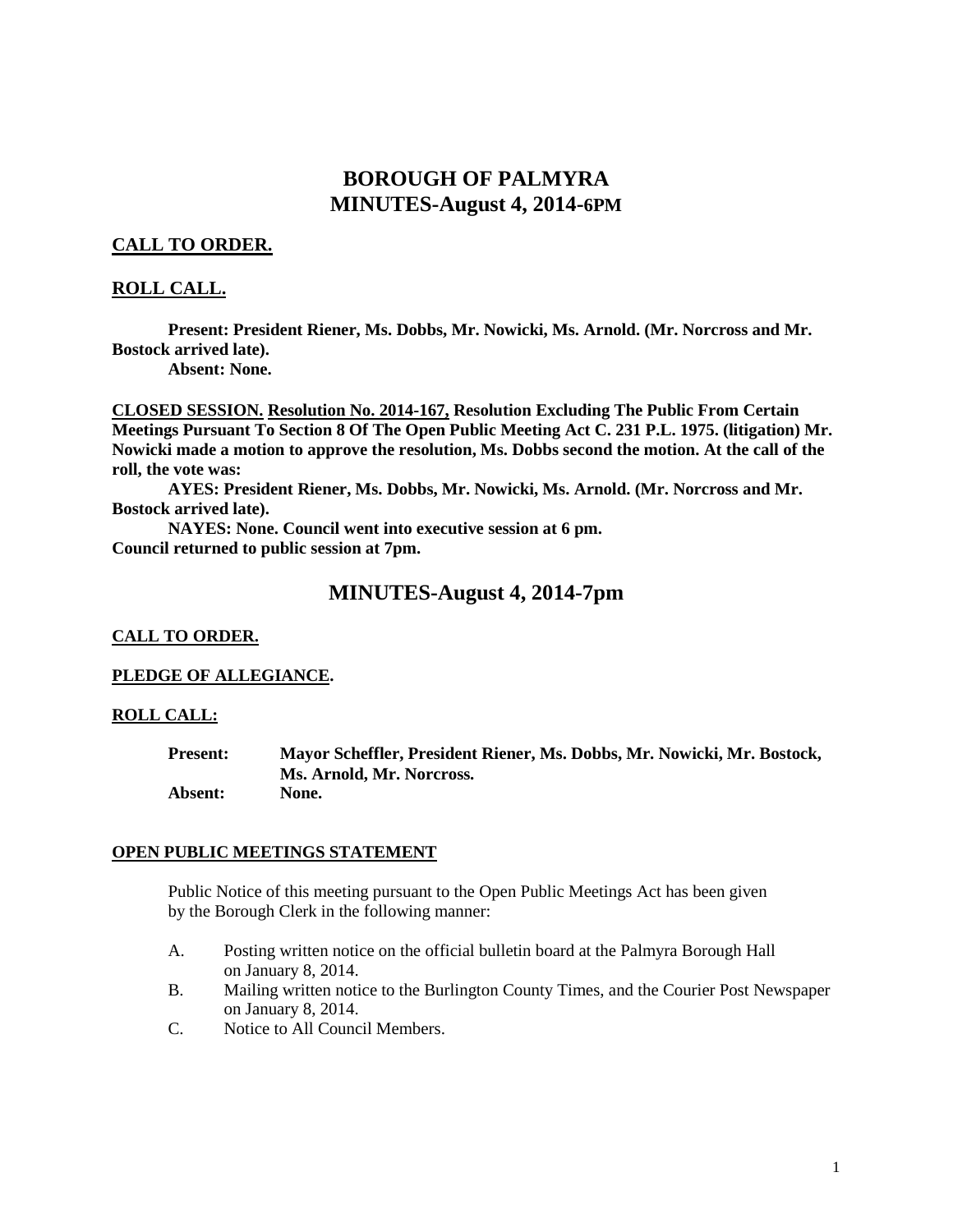# **BOROUGH OF PALMYRA MINUTES-August 4, 2014-6PM**

## **CALL TO ORDER.**

## **ROLL CALL.**

**Present: President Riener, Ms. Dobbs, Mr. Nowicki, Ms. Arnold. (Mr. Norcross and Mr. Bostock arrived late).**

**Absent: None.** 

**CLOSED SESSION. Resolution No. 2014-167, Resolution Excluding The Public From Certain Meetings Pursuant To Section 8 Of The Open Public Meeting Act C. 231 P.L. 1975. (litigation) Mr. Nowicki made a motion to approve the resolution, Ms. Dobbs second the motion. At the call of the roll, the vote was:**

**AYES: President Riener, Ms. Dobbs, Mr. Nowicki, Ms. Arnold. (Mr. Norcross and Mr. Bostock arrived late).**

**NAYES: None. Council went into executive session at 6 pm. Council returned to public session at 7pm.**

## **MINUTES-August 4, 2014-7pm**

#### **CALL TO ORDER.**

### **PLEDGE OF ALLEGIANCE.**

#### **ROLL CALL:**

**Present: Mayor Scheffler, President Riener, Ms. Dobbs, Mr. Nowicki, Mr. Bostock, Ms. Arnold, Mr. Norcross. Absent: None.**

#### **OPEN PUBLIC MEETINGS STATEMENT**

Public Notice of this meeting pursuant to the Open Public Meetings Act has been given by the Borough Clerk in the following manner:

- A. Posting written notice on the official bulletin board at the Palmyra Borough Hall on January 8, 2014.
- B. Mailing written notice to the Burlington County Times, and the Courier Post Newspaper on January 8, 2014.
- C. Notice to All Council Members.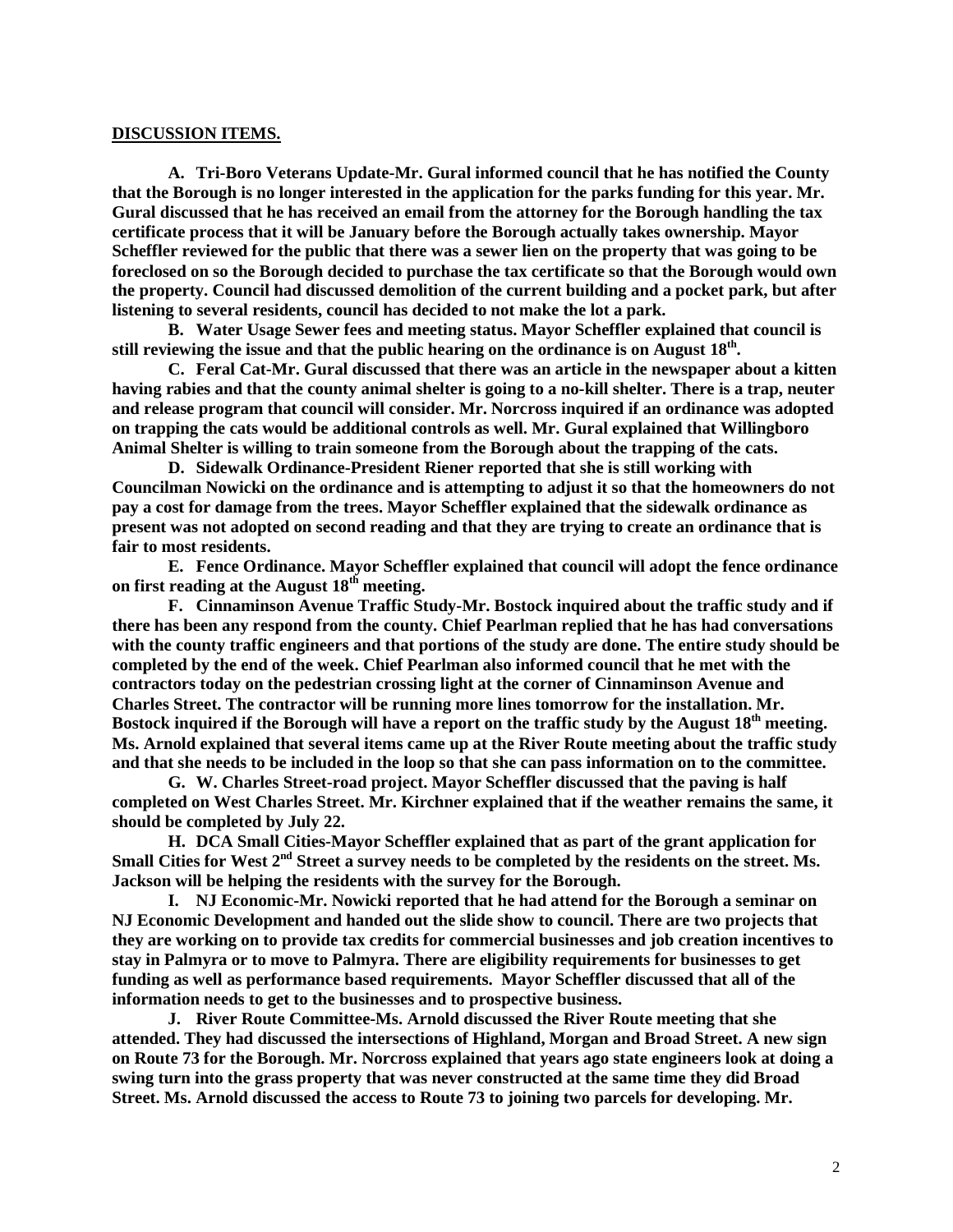#### **DISCUSSION ITEMS.**

**A. Tri-Boro Veterans Update-Mr. Gural informed council that he has notified the County that the Borough is no longer interested in the application for the parks funding for this year. Mr. Gural discussed that he has received an email from the attorney for the Borough handling the tax certificate process that it will be January before the Borough actually takes ownership. Mayor Scheffler reviewed for the public that there was a sewer lien on the property that was going to be foreclosed on so the Borough decided to purchase the tax certificate so that the Borough would own the property. Council had discussed demolition of the current building and a pocket park, but after listening to several residents, council has decided to not make the lot a park.**

**B. Water Usage Sewer fees and meeting status. Mayor Scheffler explained that council is still reviewing the issue and that the public hearing on the ordinance is on August 18th.** 

**C. Feral Cat-Mr. Gural discussed that there was an article in the newspaper about a kitten having rabies and that the county animal shelter is going to a no-kill shelter. There is a trap, neuter and release program that council will consider. Mr. Norcross inquired if an ordinance was adopted on trapping the cats would be additional controls as well. Mr. Gural explained that Willingboro Animal Shelter is willing to train someone from the Borough about the trapping of the cats.** 

**D. Sidewalk Ordinance-President Riener reported that she is still working with Councilman Nowicki on the ordinance and is attempting to adjust it so that the homeowners do not pay a cost for damage from the trees. Mayor Scheffler explained that the sidewalk ordinance as present was not adopted on second reading and that they are trying to create an ordinance that is fair to most residents.** 

**E. Fence Ordinance. Mayor Scheffler explained that council will adopt the fence ordinance on first reading at the August 18th meeting.**

**F. Cinnaminson Avenue Traffic Study-Mr. Bostock inquired about the traffic study and if there has been any respond from the county. Chief Pearlman replied that he has had conversations with the county traffic engineers and that portions of the study are done. The entire study should be completed by the end of the week. Chief Pearlman also informed council that he met with the contractors today on the pedestrian crossing light at the corner of Cinnaminson Avenue and Charles Street. The contractor will be running more lines tomorrow for the installation. Mr. Bostock inquired if the Borough will have a report on the traffic study by the August 18th meeting. Ms. Arnold explained that several items came up at the River Route meeting about the traffic study and that she needs to be included in the loop so that she can pass information on to the committee.** 

**G. W. Charles Street-road project. Mayor Scheffler discussed that the paving is half completed on West Charles Street. Mr. Kirchner explained that if the weather remains the same, it should be completed by July 22.** 

**H. DCA Small Cities-Mayor Scheffler explained that as part of the grant application for Small Cities for West 2nd Street a survey needs to be completed by the residents on the street. Ms. Jackson will be helping the residents with the survey for the Borough.**

**I. NJ Economic-Mr. Nowicki reported that he had attend for the Borough a seminar on NJ Economic Development and handed out the slide show to council. There are two projects that they are working on to provide tax credits for commercial businesses and job creation incentives to stay in Palmyra or to move to Palmyra. There are eligibility requirements for businesses to get funding as well as performance based requirements. Mayor Scheffler discussed that all of the information needs to get to the businesses and to prospective business.**

**J. River Route Committee-Ms. Arnold discussed the River Route meeting that she attended. They had discussed the intersections of Highland, Morgan and Broad Street. A new sign on Route 73 for the Borough. Mr. Norcross explained that years ago state engineers look at doing a swing turn into the grass property that was never constructed at the same time they did Broad Street. Ms. Arnold discussed the access to Route 73 to joining two parcels for developing. Mr.**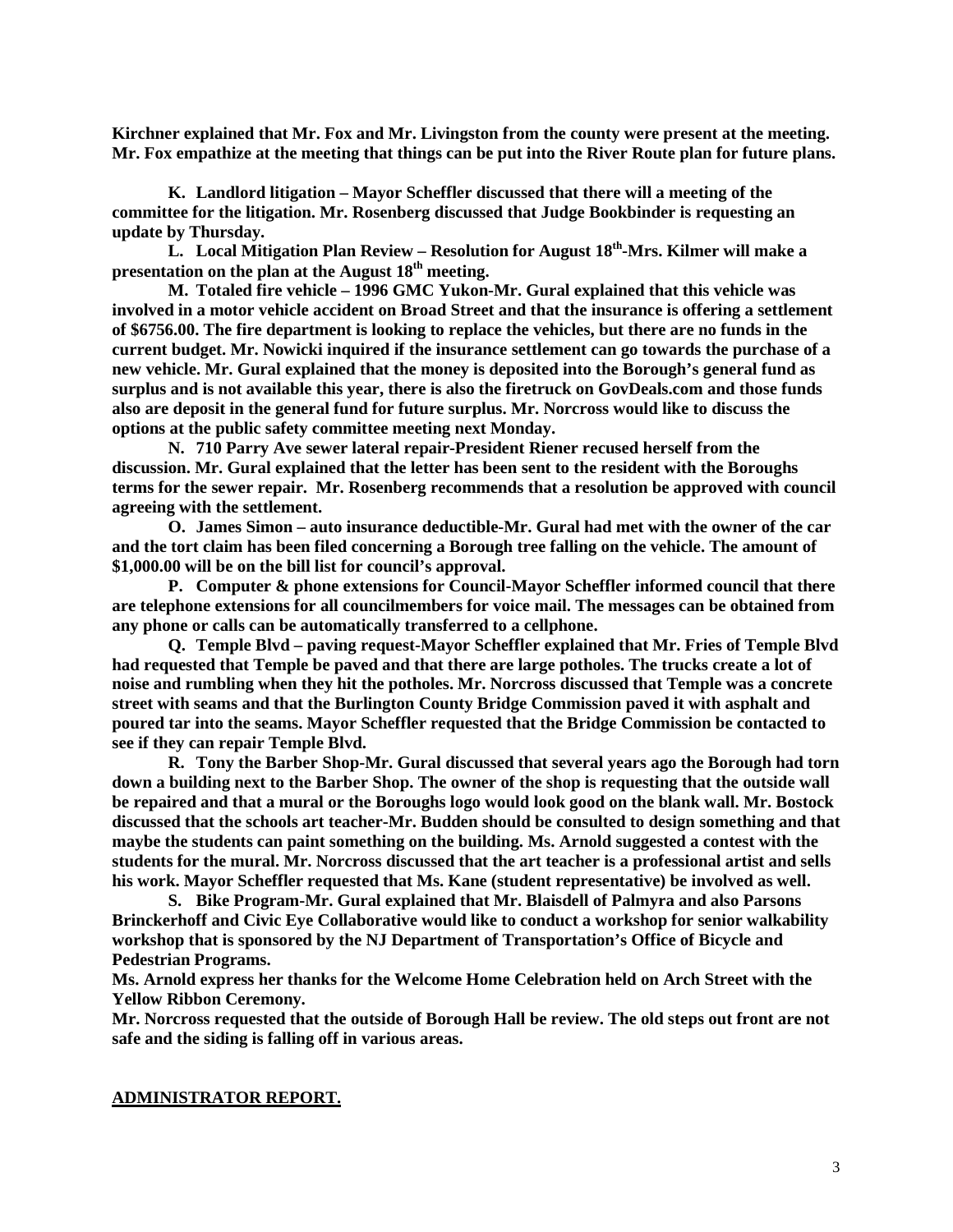**Kirchner explained that Mr. Fox and Mr. Livingston from the county were present at the meeting. Mr. Fox empathize at the meeting that things can be put into the River Route plan for future plans.** 

**K. Landlord litigation – Mayor Scheffler discussed that there will a meeting of the committee for the litigation. Mr. Rosenberg discussed that Judge Bookbinder is requesting an update by Thursday.** 

**L. Local Mitigation Plan Review – Resolution for August 18th-Mrs. Kilmer will make a presentation on the plan at the August 18th meeting.** 

**M. Totaled fire vehicle – 1996 GMC Yukon-Mr. Gural explained that this vehicle was involved in a motor vehicle accident on Broad Street and that the insurance is offering a settlement of \$6756.00. The fire department is looking to replace the vehicles, but there are no funds in the current budget. Mr. Nowicki inquired if the insurance settlement can go towards the purchase of a new vehicle. Mr. Gural explained that the money is deposited into the Borough's general fund as surplus and is not available this year, there is also the firetruck on GovDeals.com and those funds also are deposit in the general fund for future surplus. Mr. Norcross would like to discuss the options at the public safety committee meeting next Monday.** 

**N. 710 Parry Ave sewer lateral repair-President Riener recused herself from the discussion. Mr. Gural explained that the letter has been sent to the resident with the Boroughs terms for the sewer repair. Mr. Rosenberg recommends that a resolution be approved with council agreeing with the settlement.** 

**O. James Simon – auto insurance deductible-Mr. Gural had met with the owner of the car and the tort claim has been filed concerning a Borough tree falling on the vehicle. The amount of \$1,000.00 will be on the bill list for council's approval.** 

**P. Computer & phone extensions for Council-Mayor Scheffler informed council that there are telephone extensions for all councilmembers for voice mail. The messages can be obtained from any phone or calls can be automatically transferred to a cellphone.** 

**Q. Temple Blvd – paving request-Mayor Scheffler explained that Mr. Fries of Temple Blvd had requested that Temple be paved and that there are large potholes. The trucks create a lot of noise and rumbling when they hit the potholes. Mr. Norcross discussed that Temple was a concrete street with seams and that the Burlington County Bridge Commission paved it with asphalt and poured tar into the seams. Mayor Scheffler requested that the Bridge Commission be contacted to see if they can repair Temple Blvd.** 

**R. Tony the Barber Shop-Mr. Gural discussed that several years ago the Borough had torn down a building next to the Barber Shop. The owner of the shop is requesting that the outside wall be repaired and that a mural or the Boroughs logo would look good on the blank wall. Mr. Bostock discussed that the schools art teacher-Mr. Budden should be consulted to design something and that maybe the students can paint something on the building. Ms. Arnold suggested a contest with the students for the mural. Mr. Norcross discussed that the art teacher is a professional artist and sells his work. Mayor Scheffler requested that Ms. Kane (student representative) be involved as well.** 

**S. Bike Program-Mr. Gural explained that Mr. Blaisdell of Palmyra and also Parsons Brinckerhoff and Civic Eye Collaborative would like to conduct a workshop for senior walkability workshop that is sponsored by the NJ Department of Transportation's Office of Bicycle and Pedestrian Programs.** 

**Ms. Arnold express her thanks for the Welcome Home Celebration held on Arch Street with the Yellow Ribbon Ceremony.**

**Mr. Norcross requested that the outside of Borough Hall be review. The old steps out front are not safe and the siding is falling off in various areas.** 

#### **ADMINISTRATOR REPORT.**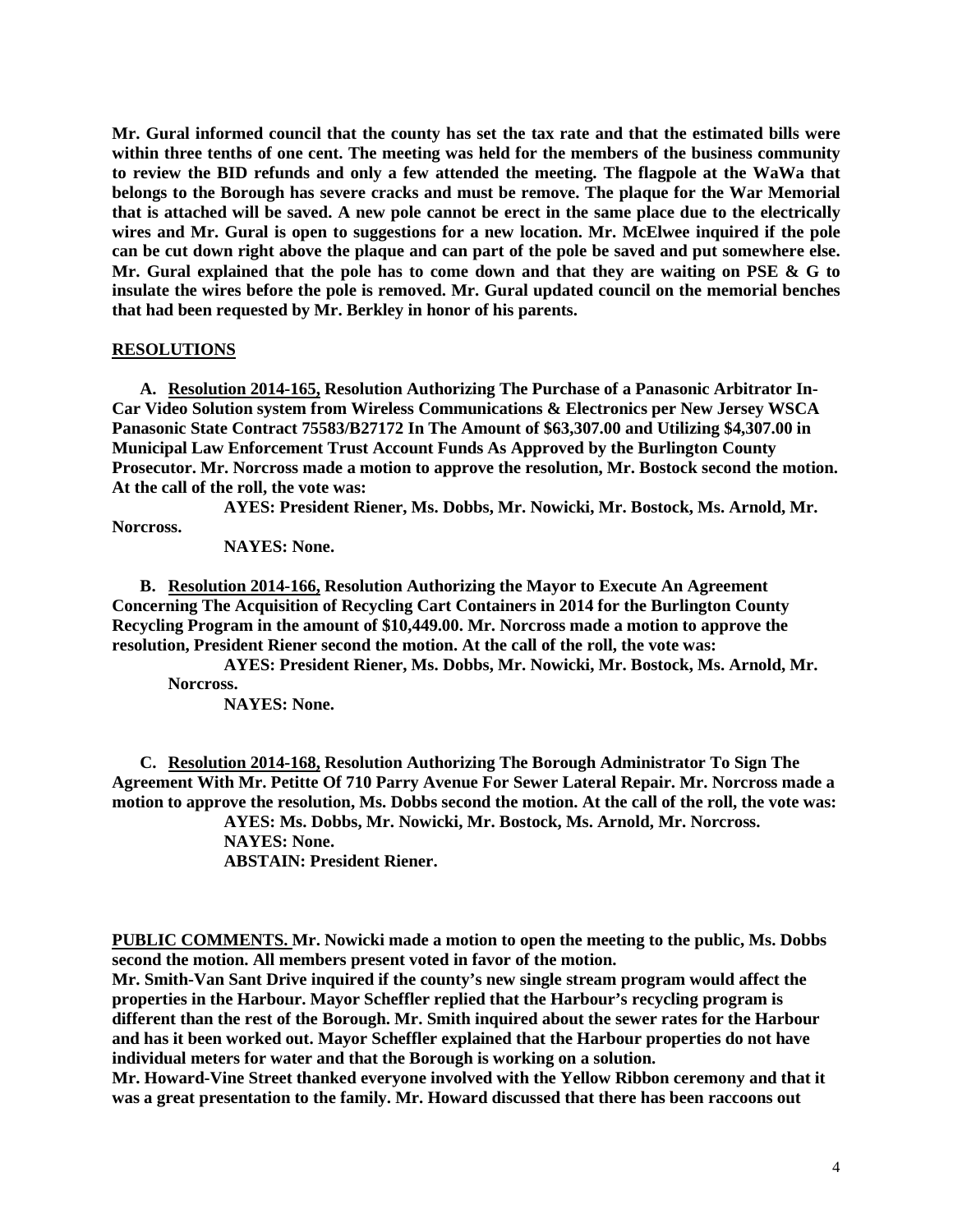**Mr. Gural informed council that the county has set the tax rate and that the estimated bills were within three tenths of one cent. The meeting was held for the members of the business community to review the BID refunds and only a few attended the meeting. The flagpole at the WaWa that belongs to the Borough has severe cracks and must be remove. The plaque for the War Memorial that is attached will be saved. A new pole cannot be erect in the same place due to the electrically wires and Mr. Gural is open to suggestions for a new location. Mr. McElwee inquired if the pole can be cut down right above the plaque and can part of the pole be saved and put somewhere else. Mr. Gural explained that the pole has to come down and that they are waiting on PSE & G to insulate the wires before the pole is removed. Mr. Gural updated council on the memorial benches that had been requested by Mr. Berkley in honor of his parents.** 

#### **RESOLUTIONS**

**A. Resolution 2014-165, Resolution Authorizing The Purchase of a Panasonic Arbitrator In-Car Video Solution system from Wireless Communications & Electronics per New Jersey WSCA Panasonic State Contract 75583/B27172 In The Amount of \$63,307.00 and Utilizing \$4,307.00 in Municipal Law Enforcement Trust Account Funds As Approved by the Burlington County Prosecutor. Mr. Norcross made a motion to approve the resolution, Mr. Bostock second the motion. At the call of the roll, the vote was:**

**AYES: President Riener, Ms. Dobbs, Mr. Nowicki, Mr. Bostock, Ms. Arnold, Mr.** 

**Norcross.**

**NAYES: None.** 

**B. Resolution 2014-166, Resolution Authorizing the Mayor to Execute An Agreement Concerning The Acquisition of Recycling Cart Containers in 2014 for the Burlington County Recycling Program in the amount of \$10,449.00. Mr. Norcross made a motion to approve the resolution, President Riener second the motion. At the call of the roll, the vote was:**

**AYES: President Riener, Ms. Dobbs, Mr. Nowicki, Mr. Bostock, Ms. Arnold, Mr. Norcross.**

**NAYES: None.** 

**C. Resolution 2014-168, Resolution Authorizing The Borough Administrator To Sign The Agreement With Mr. Petitte Of 710 Parry Avenue For Sewer Lateral Repair. Mr. Norcross made a motion to approve the resolution, Ms. Dobbs second the motion. At the call of the roll, the vote was: AYES: Ms. Dobbs, Mr. Nowicki, Mr. Bostock, Ms. Arnold, Mr. Norcross.**

**NAYES: None.** 

**ABSTAIN: President Riener.** 

**PUBLIC COMMENTS. Mr. Nowicki made a motion to open the meeting to the public, Ms. Dobbs second the motion. All members present voted in favor of the motion.** 

**Mr. Smith-Van Sant Drive inquired if the county's new single stream program would affect the properties in the Harbour. Mayor Scheffler replied that the Harbour's recycling program is different than the rest of the Borough. Mr. Smith inquired about the sewer rates for the Harbour and has it been worked out. Mayor Scheffler explained that the Harbour properties do not have individual meters for water and that the Borough is working on a solution.** 

**Mr. Howard-Vine Street thanked everyone involved with the Yellow Ribbon ceremony and that it was a great presentation to the family. Mr. Howard discussed that there has been raccoons out**